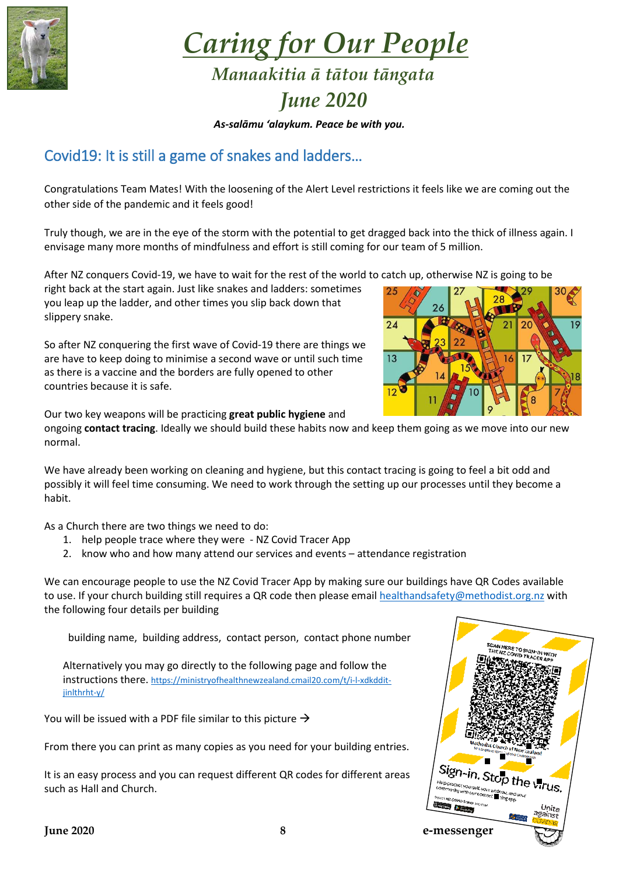

*Caring for Our People Manaakitia ā tātou tāngata*

## *June 2020*

*As-salāmu 'alaykum. Peace be with you.*

## Covid19: It is still a game of snakes and ladders…

Congratulations Team Mates! With the loosening of the Alert Level restrictions it feels like we are coming out the other side of the pandemic and it feels good!

Truly though, we are in the eye of the storm with the potential to get dragged back into the thick of illness again. I envisage many more months of mindfulness and effort is still coming for our team of 5 million.

After NZ conquers Covid-19, we have to wait for the rest of the world to catch up, otherwise NZ is going to be

right back at the start again. Just like snakes and ladders: sometimes you leap up the ladder, and other times you slip back down that slippery snake.

So after NZ conquering the first wave of Covid-19 there are things we are have to keep doing to minimise a second wave or until such time as there is a vaccine and the borders are fully opened to other countries because it is safe.



Our two key weapons will be practicing **great public hygiene** and

ongoing **contact tracing**. Ideally we should build these habits now and keep them going as we move into our new normal.

We have already been working on cleaning and hygiene, but this contact tracing is going to feel a bit odd and possibly it will feel time consuming. We need to work through the setting up our processes until they become a habit.

As a Church there are two things we need to do:

- 1. help people trace where they were NZ Covid Tracer App
- 2. know who and how many attend our services and events attendance registration

We can encourage people to use the NZ Covid Tracer App by making sure our buildings have QR Codes available to use. If your church building still requires a QR code then please email [healthandsafety@methodist.org.nz](mailto:healthandsafety@methodist.org.nz) with the following four details per building

building name, building address, contact person, contact phone number

Alternatively you may go directly to the following page and follow the instructions there. [https://ministryofhealthnewzealand.cmail20.com/t/i-l-xdkddit](https://ministryofhealthnewzealand.cmail20.com/t/i-l-xdkddit-jinlthrht-y/)[jinlthrht-y/](https://ministryofhealthnewzealand.cmail20.com/t/i-l-xdkddit-jinlthrht-y/)

You will be issued with a PDF file similar to this picture  $\rightarrow$ 

From there you can print as many copies as you need for your building entries.

It is an easy process and you can request different QR codes for different areas such as Hall and Church.